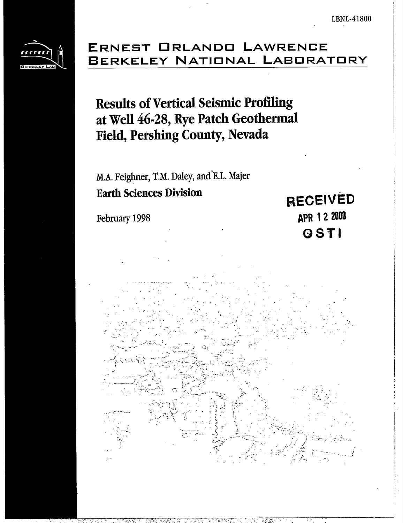

## ERNEST ORLANDO LAWRENCE BERKELEY NATIONAL LABORATORY

# **Results of Vertical Seismic Profiling** at Well 46-28, Rye Patch Geothermal **Field, Pershing County, Nevada**

M.A. Feighner, T.M. Daley, and E.L. Majer **Earth Sciences Division** 

February 1998

**RECEIVED** APR 1 2 2000 OSTI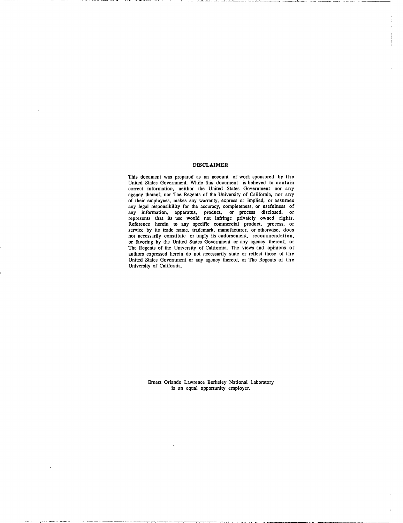#### **DISCLAIMER**

This document was prepared as an account of work sponsored by the United States Government. While this document is believed to contain correct information, neither the United States Government nor any agency thereof, nor The Regents of the University of California, nor any of their employees, makes any warranty, express or implied, or assumes of any legal responsibility for the accuracy, completeness, or usefulness of<br>any legal responsibility for the accuracy, completeness, or usefulness of<br>any information, apparatus, product, or process disclosed, or<br>represent Reference herein to any specific commercial product, process, or service by its trade name, trademark, manufacturer, or otherwise, does not necessarily constitute or imply its endorsement, recommendation, or favoring by the United States Government or any agency thereof, or The Regents of the University of California. The views and opinions of authors expressed herein do not necessarily state or reflect those of the United States Government or any agency thereof, or The Regents of the University of California.

> Ernest Orlando Lawrence Berkeley National Laboratory is an equal opportunity employer.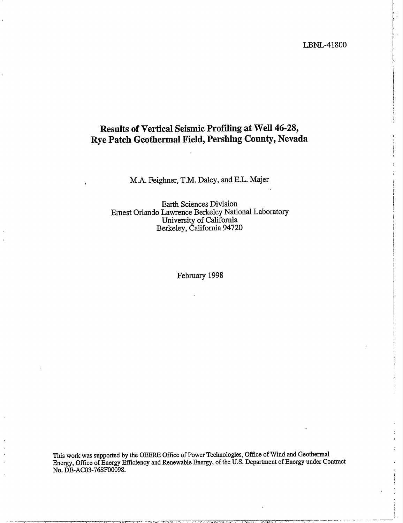LBNL-41800

### Results of Vertical Seismic Profiling at Well 46-28, Rye Patch Geothermal Field, Pershing County, Nevada

M.A. Feighner, T.M. Daley, and E.L. Majer

**Earth Sciences Division** Ernest Orlando Lawrence Berkeley National Laboratory University of California Berkeley, California 94720

February 1998

This work was supported by the OEERE Office of Power Technologies, Office of Wind and Geothermal Energy, Office of Energy Efficiency and Renewable Energy, of the U.S. Department of Energy under Contract No. DE-AC03-76SF00098.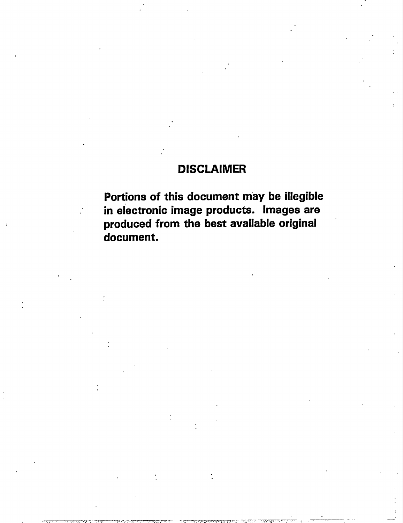### **DISCLAIMER**

**Portions of this document may be illegible in electronic image products. [mages are produced from the best available original ' document.**

.—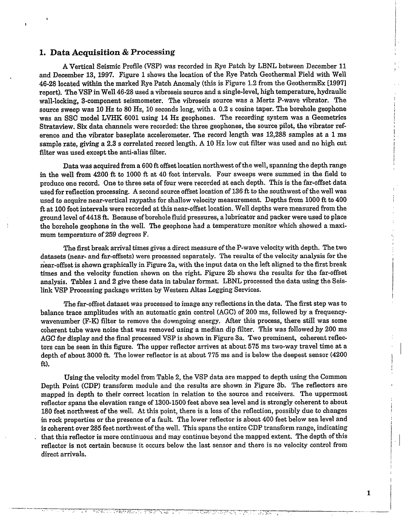#### **1. Data Acquisition& Processing**

A Vertical Seismic Profile (VSP) was recorded in Rye patch by LBNL between December 11 and December 13, 1997. Figure 1 shows the location of the Rye Patch Geothermal Field with Well 46-28 located within the marked Rye Patch Anomaly (this is Figure 1.2 from the GeothermEx [1997] report). The VSP in Well 46-28 used a vibroseis source and a singIe-Ievel, high temperature, hydraulic wall-locking, 3-component seismometer. The vibroseis source was a Mertz P-wave vibrator. The source sweep was 10 Hz to 80 Hz, 10 seconds long, with a 0.2 s cosine taper. The borehole geophone was an SSC model LVHK 6001 using 14 Hz geophones. The recording system was a Geometries Strataview. Six data channels were recorded: the three geophones, the source pilot, the vibrator reference and the vibrator baseplate accelerometer. The record length was 12,288 samples at a 1 ms sample rate, giving a 2.3 s correlated record length. A 10 Hz low cut filter was used and no high cut filter was used except the anti-alias filter.

Data was acquired from a 600 ft offset location northwest of the well, spanning the depth range in the well from 4200 ft to 1000 ft at 40 foot intervals. Four sweeps were summed in the field to produce one record. One to three sets of four were recorded at each depth. This is the far-offset data used for reflection processing. A second source offset location of 136 ft to the southwest of the well was used to acquire near-vertical raypaths for shallow velocity measurement. Depths from 1000 ft to 400 ft at 100 foot intervals were recorded at this near-offset location. Well depths were measured from the ground level of 4418 ft. Because of borehole fluid pressures, a lubricator and packer were used to place the borehole geophone in the weI1. The geophone had a temperature monitor which showed a maximum temperature of 259 degrees F.

The first break arrival times gives a direct measure of the P-wave velocity with depth. The two datasets (near- and far-offsets) were processed separately. The results of the velocity analysis for the near-offset is shown graphically in Figure 2a, with the input data on the left aligned to the first break times and the velocity function shown on the right. Figure 2b shows the results for the far-offset analysis. Tables 1 and 2 give these data in tabular format. LBNL processed the data using the Seislink VSP Processing package written by Western Altas Logging Services.

The far-offset dataset was processed to image any reflections in the data. The first step was to balance trace amplitudes with an automatic gain control (AGC) of 200 ms, followed by a frequencywavenumber (F-K) filter to remove the downgoing energy. After this process, there still was some coherent tube wave noise that was removed using a median dip filter. This was followed by 200 ms AGC for display and the final processed VSP is shown in Figure 3a. Two prominent, coherent reflectors can be seen in this figure. The upper reflector arrives at about 575 ms two-way travel time at a depth of about 3000 ft. The lower reflector is at about 775 ms and is below the deepest sensor (4200 ft).

Using the velocity model from Table 2, the VSP data are mapped to depth using the Common Depth Point (CDP) transform module and the results are shown in Figure 3b. The reflectors are mapped in depth to their correct location in relation to the source and receivers. The uppermost reflector spans the elevation range of 1300-1500 feet above sea level and is strongly coherent to about 180 feet northwest of the well. At this point, there is a loss of the reflection, possibIy due to changes in rock properties or the presence of a fault. The *lower* reflector is about 400 feet below sea level and is coherent over 285 feet northwest of the well. This spans the entire CDP transform range, indicating that this reflector is more continuous and may continue beyond the mapped extent. The depth of this reflector is not certain because it occurs below the last sensor and there is no velocity control from direct arrivals.

राज्यसम्

11. CARA KEMEL Y

 $\parallel$ 

I

**I**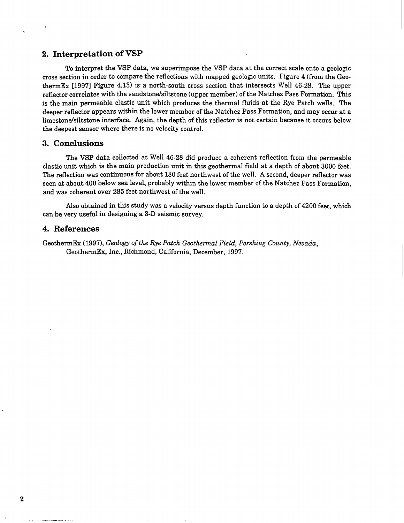#### 2. **Interpretation of VSP**

To interpret the VSP data, we superimpose the VSP data at the correct scale onto a geologic cross section in order to compare the reflections with mapped geologic units. Figure 4 (from the GeothermEx [19971 Figure 4.13) is a north-south cross section that intersects Well 46-28. The upper reflector correlates with the sandstone/siltstone (upper member) of the Natchez Pass Formation. This is the main permeable elastic unit which produces the thermal fluids at the Rye Patch wells. The deeper reflector appears within the lower member of the Natchez Pass Formation, and may occur at a limestone/siltstone interface. Again, the depth of this reflector is not certain because it occurs below the deepest sensor where there is no velocity control.

#### 3. **Conclusions**

,

The VSP data collected at Well 46-28 did produce a coherent reflection from the permeable elastic unit which is the main production unit in this geothermal field at a depth of about 3000 feet. The reflection was continuous for about 180 feet northwest of the well. A second, deeper reflector was seen at about 400 below sea level, probably within the lower member of the Natchez Pass Formation, and was coherent over 285 feet northwest of the well.

Also obtained in this study was a velocity versus depth function to a depth of 4200 feet, which can be very useful in designing a 3-D seismic survey.

#### **4. References**

GeothermEx (1997), *Geology of the Rye Patch Geothermal Field, Pershing County, Nevada,* GeothermEx, Inc., Richmond, California, December, 1997.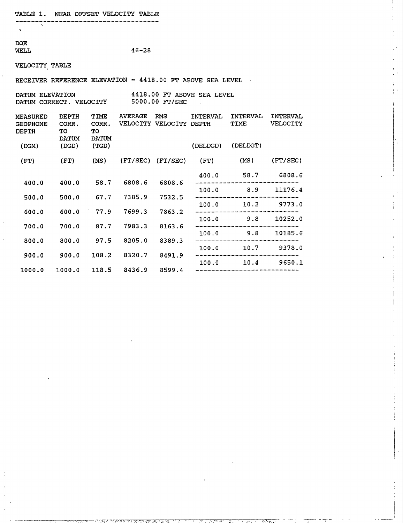------------------------------------

## DOE<br>WELL

,

```
46 - 28
```
#### VELOCITY, TABLE

RECEIVER REFERENCE ELEVATION = 4418.00 FT ABOVE SEA LEVEL

| <b>DATUM ELEVATION</b>         |  |                |  | 4418.00 FT ABOVE SEA LEVEL |  |
|--------------------------------|--|----------------|--|----------------------------|--|
| <b>DATUM CORRECT. VELOCITY</b> |  | 5000.00 FT/SEC |  |                            |  |

| DEPTH<br>CORR.<br>TО | TIME<br>CORR.<br>TО                     | <b>AVERAGE</b>                                | <b>RMS</b>                                 | INTERVAL                                       | INTERVAL<br>TIME                                          | <b>INTERVAL</b><br><b>VELOCITY</b>                                                                 |
|----------------------|-----------------------------------------|-----------------------------------------------|--------------------------------------------|------------------------------------------------|-----------------------------------------------------------|----------------------------------------------------------------------------------------------------|
| (DGD)                | (TGD)                                   |                                               |                                            | (DELDGD)                                       | (DELDGT)                                                  |                                                                                                    |
| (FT)                 | (MS)                                    |                                               |                                            | (FT)                                           | (MS)                                                      | (FT/SEC)                                                                                           |
|                      |                                         |                                               |                                            | 400.0                                          |                                                           | 6808.6                                                                                             |
|                      |                                         |                                               |                                            | 100.0                                          | 8.9                                                       | 11176.4                                                                                            |
| 500.0                |                                         | 7385.9                                        |                                            |                                                |                                                           | 9773.0                                                                                             |
| 600.0                | 77.9                                    | 7699.3                                        | 7863.2                                     |                                                |                                                           |                                                                                                    |
|                      |                                         |                                               |                                            | 100.0                                          | 9.8                                                       | 10252.0                                                                                            |
|                      |                                         |                                               |                                            |                                                |                                                           | 10185.6                                                                                            |
| 800.0                | 97.5                                    | 8205.0                                        | 8389.3                                     |                                                |                                                           |                                                                                                    |
|                      |                                         |                                               |                                            |                                                | 10.7                                                      | 9378.0                                                                                             |
|                      |                                         |                                               |                                            |                                                |                                                           | 9650.1                                                                                             |
| 1000.0               |                                         |                                               |                                            |                                                |                                                           |                                                                                                    |
|                      | <b>DATUM</b><br>400.0<br>700.0<br>900.0 | <b>DATUM</b><br>58.7<br>67.7<br>87.7<br>108.2 | 6808.6<br>7983.3<br>8320.7<br>118.5 8436.9 | 6808.6<br>7532.5<br>8163.6<br>8491.9<br>8599.4 | VELOCITY VELOCITY DEPTH<br>$(FT/SEC)$ $(FT/SEC)$<br>100.0 | 58.7<br>10.2<br>100.0<br>_____________<br>9.8<br>100.0<br>100.0<br>10.4<br>----------------------- |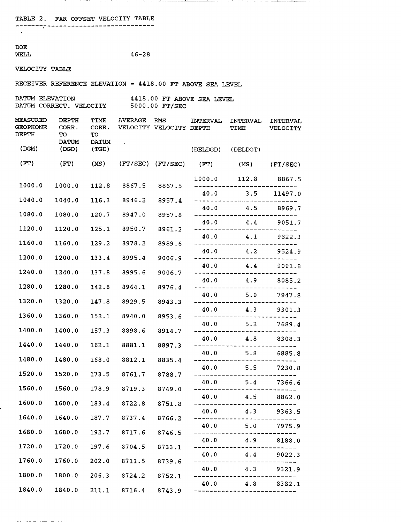TABLE 2. FAR OFFSET VELOCITY TABLE

\_\_\_\_\_\_\_\_\_\_\_\_\_\_\_\_\_\_\_\_\_\_\_\_ -----------

DOE<br>WELL

 $46 - 28$ 

VELOCITY TABLE

RECEIVER REFERENCE ELEVATION = 4418.00 FT ABOVE SEA LEVEL

.-. -——-.\_. . --- .. . .. .\_.\_\_.

,. -,.. -. \_\_\_\_\_\_\_\_\_\_\_

| DATUM ELEVATION         | 4418.00 FT ABOVE SEA LEVEL |                |  |  |  |
|-------------------------|----------------------------|----------------|--|--|--|
| DATUM CORRECT. VELOCITY |                            | 5000.00 FT/SEC |  |  |  |

| <b>MEASURED</b><br><b>GEOPHONE</b><br>DEPTH | <b>DEPTH</b><br>CORR.<br>TO<br><b>DATUM</b> | TIME<br>CORR.<br>TO   | <b>AVERAGE</b> | RMS<br>VELOCITY VELOCITY DEPTH | INTERVAL | INTERVAL<br>TIME                         | INTERVAL<br>VELOCITY |
|---------------------------------------------|---------------------------------------------|-----------------------|----------------|--------------------------------|----------|------------------------------------------|----------------------|
| (DGM)                                       | (DGD)                                       | <b>DATUM</b><br>(TGD) |                |                                | (DELDGD) | (DELDGT)                                 |                      |
| (FT)                                        | (FT)                                        | (MS)                  |                | (FT/SEC) (FT/SEC)              | (FT)     | (MS)                                     | (FT/SEC)             |
| 1000.0                                      | 1000.0                                      | 112.8                 | 8867.5         | 8867.5                         | 1000.0   |                                          | 112.8 8867.5         |
|                                             |                                             |                       |                |                                |          | $40.0$ 3.5                               | 11497.0              |
| 1040.0                                      | 1040.0                                      | 116.3                 | 8946.2         | 8957.4                         | 40.0     | 4.5                                      | 8969.7               |
| 1080.0                                      | 1080.0                                      | 120.7                 | 8947.0         | 8957.8                         | 40.0     |                                          | 4.4 9051.7           |
| 1120.0                                      | 1120.0                                      | 125.1                 | 8950.7         | 8961.2                         | 40.0     | 4.1                                      | 9822.3               |
| 1160.0                                      | 1160.0                                      | 129.2                 | 8978.2         | 8989.6                         |          | . <u>.</u><br>40.0 4.2 9524.9            | . <u>.</u>           |
| 1200.0                                      | 1200.0                                      | 133.4                 | 8995.4         | 9006.9                         |          | .                                        |                      |
| 1240.0                                      | 1240.0                                      | 137.8                 | 8995.6         | 9006.7                         |          | 40.0 4.4 9001.8                          |                      |
| 1280.0                                      | 1280.0                                      | 142.8                 | 8964.1         | 8976.4                         |          | 40.0 4.9 8085.2                          |                      |
| 1320.0                                      | 1320.0                                      | 147.8                 | 8929.5         | 8943.3                         | 40.0     |                                          | $5.0$ $7947.3$       |
| 1360.0                                      | 1360.0                                      | 152.1                 | 8940.0         | 8953.6                         | 40.0     | --------------------                     | 4.3 9301.3           |
| 1400.0                                      | 1400.0                                      | 157.3                 | 8898.6         | 8914.7                         | 40.0     | 5.2<br>-----------------------           | 7689.4               |
| 1440.0                                      | 1440.0                                      | 162.1                 | 8881.1         |                                | 40.0     |                                          | 4.8 8308.3           |
|                                             |                                             |                       |                | 8897.3                         |          | المرتب للربيب للتراكب<br>40.0 5.8 6885.8 |                      |
| 1480.0                                      | 1480.0                                      | 168.0                 | 8812.1         | 8835.4                         | ----     | 40.0 5.5                                 | 7230.8               |
| 1520.0                                      | 1520.0                                      | 173.5                 | 8761.7         | 8788.7                         | 40.0     |                                          | $5.4$ 7366.6         |
| 1560.0                                      | 1560.0                                      | 178.9                 | 8719.3         | 8749.0                         | 40.0     |                                          | $4.5$ $8862.0$       |
| 1600.0                                      | 1600.0                                      | 183.4                 | 8722.8         | 8751.8                         |          |                                          |                      |
| 1640.0                                      | 1640.0                                      | 187.7                 | 8737.4         | 8766.2                         | 40.0     | 4.3                                      | 9363.5               |
| 1680.0                                      | 1680.0                                      | 192.7                 | 8717.6         | 8746.5                         | 40.0     | 5.0                                      | 7975.9               |
| 1720.0                                      | 1720.0                                      | 197.6                 | 8704.5         | 8733.1                         | 40.0     | 4.9                                      | 8188.0               |
| 1760.0                                      | 1760.0                                      | 202.0                 | 8711.5         | 8739.6                         | 40.0     | 4.4                                      | 9022.3               |
| 1800.0                                      | 1800.0                                      | 206.3                 | 8724.2         |                                | 40.0     | 4.3                                      | 9321.9               |
|                                             |                                             |                       |                | 8752.1                         | 40.0     | 4.8                                      | 8382.1               |
| 1840.0                                      | 1840.0                                      | 211.1                 | 8716.4         | 8743.9                         |          |                                          |                      |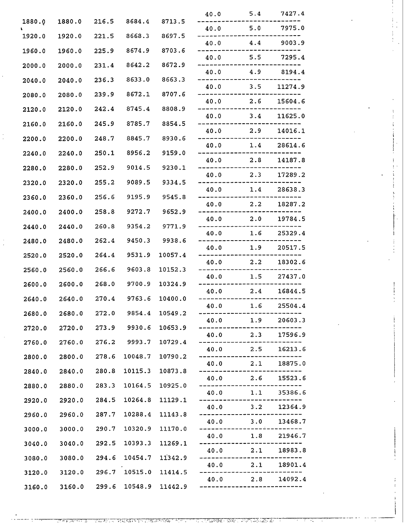|        |                            |              |               |                       | 40.0                                    | 5.4          | 7427.4           |
|--------|----------------------------|--------------|---------------|-----------------------|-----------------------------------------|--------------|------------------|
| 1880.0 | 1880.0                     | 216.5        | 8684.4        | 8713.5                |                                         | 40.0 5.0     | 7975.0           |
| 1920.0 | 1920.0                     | 221.5        | 8668.3        | 8697.5                |                                         | $40.0$ $4.4$ | 9003.9           |
| 1960.0 | 1960.0                     | 225.9        | 8674.9        | 8703.6                |                                         | 40.0 5.5     | 7295.4           |
| 2000.0 | 2000.0                     | 231.4        | 8642.2        | 8672.9                |                                         |              | 40.0 4.9 8194.4  |
| 2040.0 | 2040.0                     | 236.3        | 8633.0        | 8663.3                | 40.0                                    | 3.5          | 11274.9          |
| 2080.0 | 2080.0                     | 239.9        | 8672.1        | 8707.6                | 40.0                                    | 2.6          | 15604.6          |
| 2120.0 | 2120.0                     | 242.4        | 8745.4        | 8808.9                | 40.0                                    | 3.4          | 11625.0          |
| 2160.0 | 2160.0                     | 245.9        | 8785.7        | 8854.5                | 40.0                                    | 2.9          | 14016.1          |
| 2200.0 | 2200.0                     | 248.7        | 8845.7        | 8930.6                |                                         |              |                  |
| 2240.0 | 2240.0                     | 250.1        | 8956.2        | 9159.0                | 40.0                                    | 1.4          | 28614.6          |
| 2280.0 | 2280.0                     | 252.9        | 9014.5        | 9230.1                |                                         | $40.0$ 2.8   | 14187.8          |
| 2320.0 | 2320.0                     | 255.2        | 9089.5        | 9334.5                |                                         | $40.0$ 2.3   | 17289.2          |
| 2360.0 | 2360.0                     | 256.6        | 9195.9        | 9545.8                | 40.0                                    | 1.4          | 28638.3          |
| 2400.0 | 2400.0                     | 258.8        | 9272.7        | 9652.9                | 40.0                                    | 2.2          | 18287.2          |
| 2440.0 | 2440.0                     | 260.8        | 9354.2        | 9771.9                | 40.0                                    | 2.0          | 19784.5          |
| 2480.0 | 2480.0                     | 262.4        | 9450.3        | 9938.6                | 40.0                                    | 1.6          | 25329.4          |
| 2520.0 | 2520.0                     | 264.4        | 9531.9        | 10057.4               | 40.0                                    | 1.9          | 20517.5          |
| 2560.0 | 2560.0                     | 266.6        | 9603.8        | 10152.3               |                                         | $40.0$ 2.2   | 18302.6          |
| 2600.0 | 2600.0                     | 268.0        | 9700.9        | 10324.9               | 40.0                                    | 1.5          | 27437.0          |
|        |                            |              |               |                       | 40.0                                    | 2.4          | 16844.5          |
| 2640.0 | 2640.0                     | 270.4        | 9763.6        | 10400.0               | 40.0                                    | 1.6          | 25504.4          |
| 2680.0 |                            | 2680.0 272.0 | 9854.4        | 10549.2               | 40.0                                    | 1.9          | 20603.3          |
|        | 2720.0 2720.0 273.9 9930.6 |              |               | 10653.9               | 40.0                                    | 2.3          | 17596.9          |
| 2760.0 | 2760.0                     |              | 276.2 9993.7  | 10729.4               |                                         | $40.0$ 2.5   | 16213.6          |
| 2800.0 | 2800.0                     |              | 278.6 10048.7 | 10790.2               | $40.0$ 2.1                              |              | 18875.0          |
| 2840.0 |                            | 2840.0 280.8 | 10115.3       | 10873.8               | $- - -$<br>40.0 2.6 15523.6             |              |                  |
| 2880.0 |                            | 2880.0 283.3 | 10164.5       | 10925.0               | $\qquad \qquad - -$<br>40.0 1.1 35386.6 |              |                  |
| 2920.0 | 2920.0                     |              | 284.5 10264.8 | 11129.1               | $40.0$ 3.2                              |              | 12364.9          |
| 2960.0 | 2960.0                     | 287.7        | 10288.4       | 11143.8               | $40.0$ 3.0                              |              | 13468.7          |
| 3000.0 | 3000.0                     | 290.7        | 10320.9       | 11170.0               | 40.0                                    | 1.8          | 21946.7          |
| 3040.0 | 3040.0                     | 292.5        | 10393.3       | 11269.1               |                                         |              | 40.0 2.1 18983.8 |
| 3080.0 |                            | 3080.0 294.6 | 10454.7       | 11342.9               |                                         | 40.0 2.1     | 18901.4          |
| 3120.0 | 3120.0 296.7 10515.0       |              |               | 11414.5               |                                         | $40.0$ 2.8   | 14092.4          |
|        | 3160.0 3160.0              |              |               | 299.6 10548.9 11442.9 |                                         |              |                  |

**.— —** ,,rT\_ .~.**.,.,,..& ,.. .** <sup>v</sup>

-, ....,'...,.: ,... **!,,-., . .. . . ..... ... . . ?.**

**\_ . ,. ,,, - ,.** —..—.

. ..—\_-: --— .—.-—,\_. **-'i,. .J.. .,>.** <sup>J</sup> f.. :1, ! . **.J. , :.,.,.... ,.-**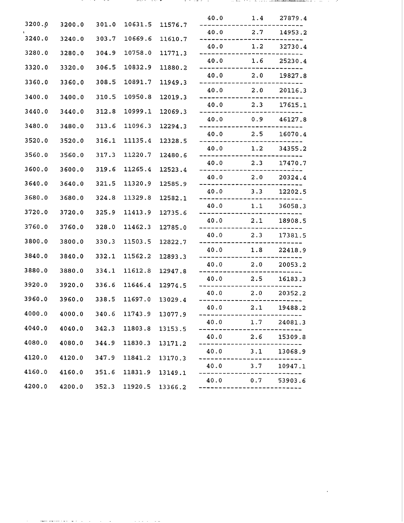|        |        |       |         |         | 40.0                         | 1.4           | 27879.4 |
|--------|--------|-------|---------|---------|------------------------------|---------------|---------|
| 3200.0 | 3200.0 | 301.0 | 10631.5 | 11576.7 | 40.0 2.7                     |               | 14953.2 |
| 3240.0 | 3240.0 | 303.7 | 10669.6 | 11610.7 | $40.0$ 1.2                   |               | 32730.4 |
| 3280.0 | 3280.0 | 304.9 | 10758.0 | 11771.3 | 40.0 1.6 25230.4             |               |         |
| 3320.0 | 3320.0 | 306.5 | 10832.9 | 11880.2 |                              |               |         |
| 3360.0 | 3360.0 | 308.5 | 10891.7 | 11949.3 | $40.0$ 2.0                   |               | 19827.8 |
| 3400.0 | 3400.0 | 310.5 | 10950.8 | 12019.3 | 40.0 2.0 20116.3             |               |         |
| 3440.0 | 3440.0 | 312.8 | 10999.1 | 12069.3 | $40.0$ 2.3                   |               | 17615.1 |
| 3480.0 | 3480.0 | 313.6 | 11096.3 | 12294.3 | 40.0 0.9                     |               | 46127.8 |
| 3520.0 | 3520.0 | 316.1 | 11135.4 | 12328.5 | 40.0                         | 2.5           | 16070.4 |
|        |        |       |         |         | $40.0$ 1.2                   |               | 34355.2 |
| 3560.0 | 3560.0 | 317.3 | 11220.7 | 12480.6 | $40.0$ 2.3                   |               | 17470.7 |
| 3600.0 | 3600.0 | 319.6 | 11265.4 | 12523.4 | $- - -$<br>$40.0$ 2.0        |               | 20324.4 |
| 3640.0 | 3640.0 | 321.5 | 11320.9 | 12585.9 | 40.0                         | $3.3$ 12202.5 |         |
| 3680.0 | 3680.0 | 324.8 | 11329.8 | 12582.1 | 40.0                         | 1.1           | 36058.3 |
| 3720.0 | 3720.0 | 325.9 | 11413.9 | 12735.6 | 40.0                         | 2.1           | 18908.5 |
| 3760.0 | 3760.0 | 328.0 | 11462.3 | 12785.0 |                              |               |         |
| 3800.0 | 3800.0 | 330.3 | 11503.5 | 12822.7 | 40.0 2.3                     |               | 17381.5 |
| 3840.0 | 3840.0 | 332.1 | 11562.2 | 12893.3 | 40.0 1.8                     |               | 22418.9 |
| 3880.0 | 3880.0 | 334.1 | 11612.8 | 12947.8 | 40.0 2.0                     |               | 20053.2 |
| 3920.0 | 3920.0 | 336.6 | 11646.4 | 12974.5 | 40.0                         | 2.5           | 16183.3 |
| 3960.0 | 3960.0 | 338.5 | 11697.0 | 13029.4 | 40.0                         | 2.0           | 20352.2 |
| 4000.0 | 4000.0 | 340.6 | 11743.9 | 13077.9 | 40.0                         | 2.1           | 19488.2 |
|        |        |       |         |         | 40.0                         | 1.7           | 24081.3 |
| 4040.0 | 4040.0 | 342.3 | 11803.8 | 13153.5 | 40.0                         | 2.6           | 15309.8 |
| 4080.0 | 4080.0 | 344.9 | 11830.3 | 13171.2 | 40.0                         | 3.1           | 13068.9 |
| 4120.0 | 4120.0 | 347.9 | 11841.2 | 13170.3 | 40.0                         | 3.7           | 10947.1 |
| 4160.0 | 4160.0 | 351.6 | 11831.9 | 13149.1 |                              |               |         |
| 4200.0 | 4200.0 | 352.3 | 11920.5 | 13366.2 | $40.0$ 0.7<br>-------------- |               | 53903.6 |

. . . . .

....- . ... ... ,! . . . . .- .,-.., .. :., :. ..= .-. —A . . . . . . . . . .

 $\mathcal{L}^{\text{max}}_{\text{max}}$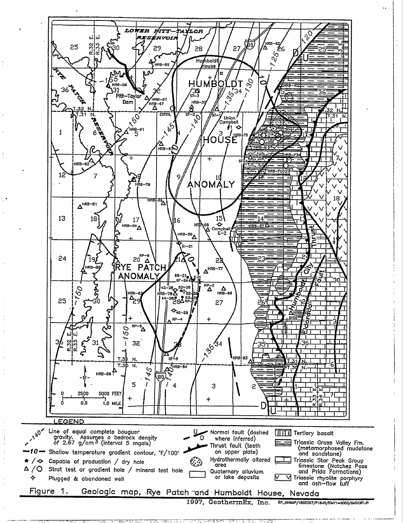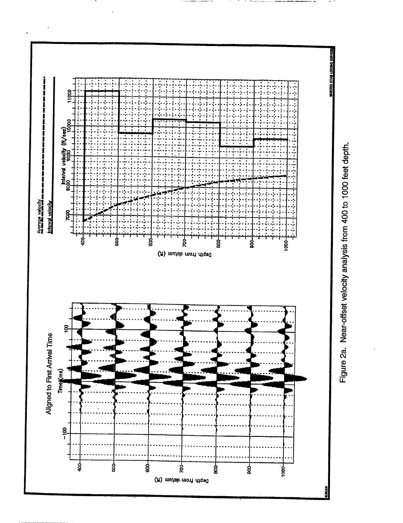**REFILIAL ALCOHOL ARTISTS** 11000 nterval velocity (ft/eoc)<br>soloo<br>soloo Ī Avarage valouity<br>mem en de eeu me uit een mem een ree var me me uit een **Interval velocity** Rocc ჭ<br>8 ş ಕ್ಷ i<br>8 ğ  $\langle \pi \rangle$  mutob mori diqsd g Aligned to First Arrival Time Times(me)  $-100$ HOOH ege<br>S 40<br>9  $\frac{1}{2}$ និ å 1000 Depth from detum (ft)

Figure 2a. Near-offset velocity analysis from 400 to 1000 feet depth.

Š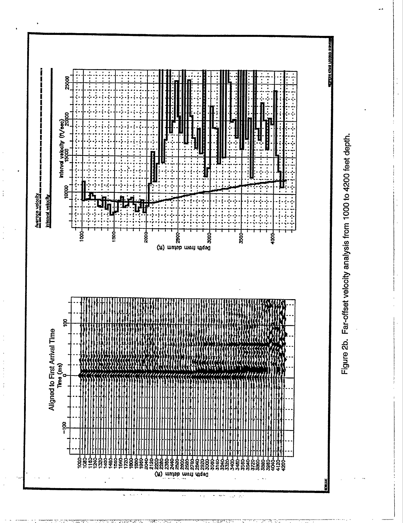**Z5QOU** Interval velocity (ft/eec)<br>1500<br>1500 10000 †<br>इ ន្ទី នី Š.  $\tilde{y}$  mutub mont diqed<br> $\tilde{y}$ ន្តី

Ĭ

f

**Marge velocity Interval velocity** 



 $\mathcal{A}_{\mathcal{S}}(\mathcal{S})$ 

وأورا الحيارة

 $\ddot{\phantom{0}}$ 

Figure 2b. Far-offset velocity analysis from 1000 to 4200 feet depth.

**KTMJ LOCOLED EDG**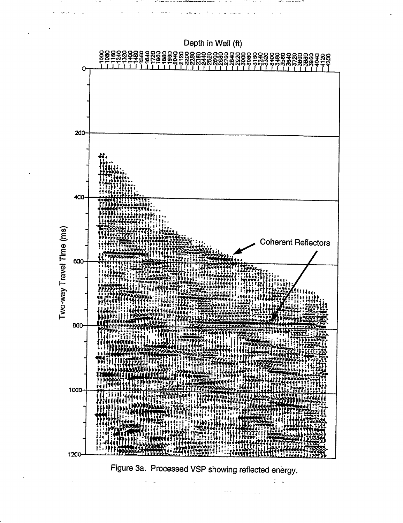

Figure 3a. Processed VSP showing reflected energy.

 $\frac{1}{2}$   $\frac{1}{2}$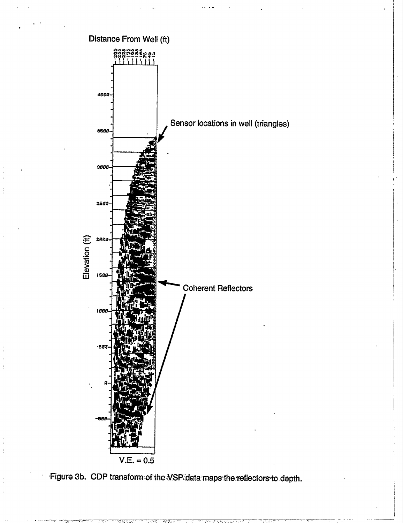

Figure 3b. CDP transform of the VSP data maps the reflectors to depth.